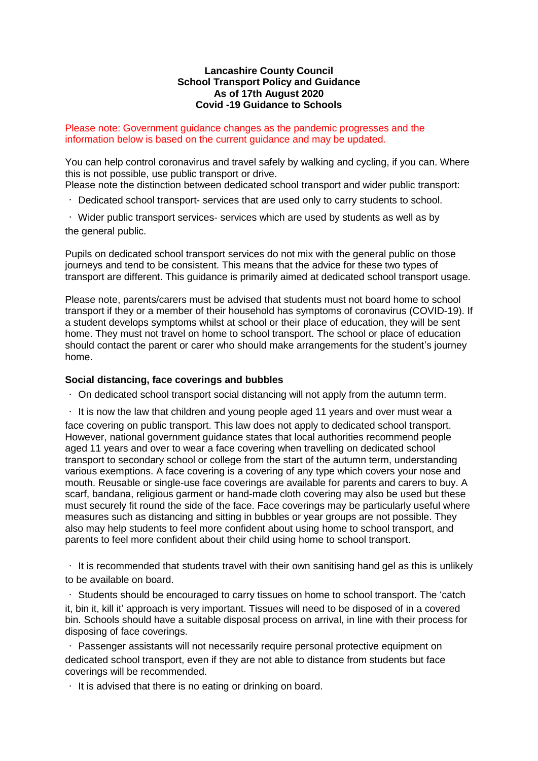#### **Lancashire County Council School Transport Policy and Guidance As of 17th August 2020 Covid -19 Guidance to Schools**

#### Please note: Government guidance changes as the pandemic progresses and the information below is based on the current guidance and may be updated.

You can help control coronavirus and travel safely by walking and cycling, if you can. Where this is not possible, use public transport or drive.

Please note the distinction between dedicated school transport and wider public transport:

Dedicated school transport- services that are used only to carry students to school.

 $\cdot$  Wider public transport services- services which are used by students as well as by the general public.

Pupils on dedicated school transport services do not mix with the general public on those journeys and tend to be consistent. This means that the advice for these two types of transport are different. This guidance is primarily aimed at dedicated school transport usage.

Please note, parents/carers must be advised that students must not board home to school transport if they or a member of their household has symptoms of coronavirus (COVID-19). If a student develops symptoms whilst at school or their place of education, they will be sent home. They must not travel on home to school transport. The school or place of education should contact the parent or carer who should make arrangements for the student's journey home.

### **Social distancing, face coverings and bubbles**

 $\cdot$  On dedicated school transport social distancing will not apply from the autumn term.

 $\cdot$  It is now the law that children and young people aged 11 years and over must wear a face covering on public transport. This law does not apply to dedicated school transport. However, national government guidance states that local authorities recommend people aged 11 years and over to wear a face covering when travelling on dedicated school transport to secondary school or college from the start of the autumn term, understanding various exemptions. A face covering is a covering of any type which covers your nose and mouth. Reusable or single-use face coverings are available for parents and carers to buy. A scarf, bandana, religious garment or hand-made cloth covering may also be used but these must securely fit round the side of the face. Face coverings may be particularly useful where measures such as distancing and sitting in bubbles or year groups are not possible. They also may help students to feel more confident about using home to school transport, and parents to feel more confident about their child using home to school transport.

 $\cdot$  It is recommended that students travel with their own sanitising hand gel as this is unlikely to be available on board.

 $\cdot$  Students should be encouraged to carry tissues on home to school transport. The 'catch it, bin it, kill it' approach is very important. Tissues will need to be disposed of in a covered bin. Schools should have a suitable disposal process on arrival, in line with their process for disposing of face coverings.

Passenger assistants will not necessarily require personal protective equipment on dedicated school transport, even if they are not able to distance from students but face coverings will be recommended.

 $\cdot$  It is advised that there is no eating or drinking on board.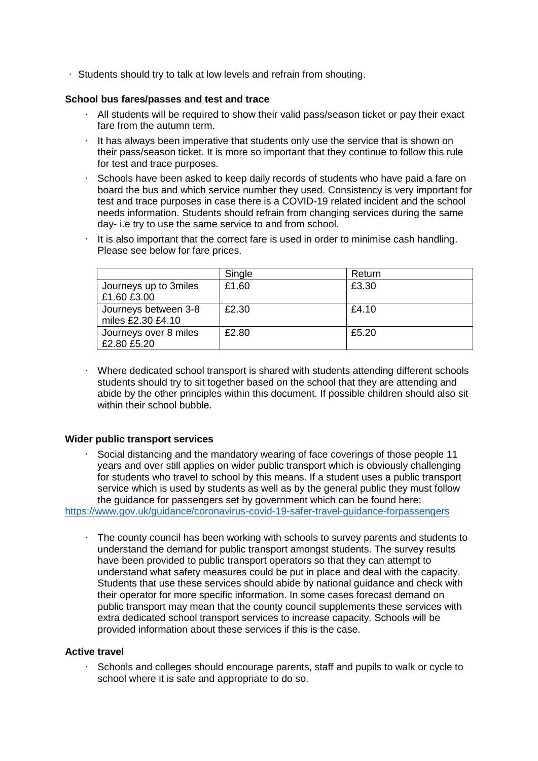Students should try to talk at low levels and refrain from shouting.

### **School bus fares/passes and test and trace**

- $\cdot$  All students will be required to show their valid pass/season ticket or pay their exact fare from the autumn term.
- It has always been imperative that students only use the service that is shown on their pass/season ticket. It is more so important that they continue to follow this rule for test and trace purposes.
- Schools have been asked to keep daily records of students who have paid a fare on board the bus and which service number they used. Consistency is very important for test and trace purposes in case there is a COVID-19 related incident and the school needs information. Students should refrain from changing services during the same day- i.e try to use the same service to and from school.
- It is also important that the correct fare is used in order to minimise cash handling. Please see below for fare prices.

|                                           | Single | Return |
|-------------------------------------------|--------|--------|
| Journeys up to 3miles<br>£1.60 £3.00      | £1.60  | £3.30  |
| Journeys between 3-8<br>miles £2.30 £4.10 | £2.30  | £4.10  |
| Journeys over 8 miles<br>£2.80 £5.20      | £2.80  | £5.20  |

Where dedicated school transport is shared with students attending different schools students should try to sit together based on the school that they are attending and abide by the other principles within this document. If possible children should also sit within their school bubble.

# **Wider public transport services**

- Social distancing and the mandatory wearing of face coverings of those people 11 years and over still applies on wider public transport which is obviously challenging for students who travel to school by this means. If a student uses a public transport service which is used by students as well as by the general public they must follow the guidance for passengers set by government which can be found here: <https://www.gov.uk/guidance/coronavirus-covid-19-safer-travel-guidance-forpassengers>
	- The county council has been working with schools to survey parents and students to understand the demand for public transport amongst students. The survey results have been provided to public transport operators so that they can attempt to understand what safety measures could be put in place and deal with the capacity. Students that use these services should abide by national guidance and check with their operator for more specific information. In some cases forecast demand on public transport may mean that the county council supplements these services with extra dedicated school transport services to increase capacity. Schools will be provided information about these services if this is the case.

# **Active travel**

Schools and colleges should encourage parents, staff and pupils to walk or cycle to school where it is safe and appropriate to do so.